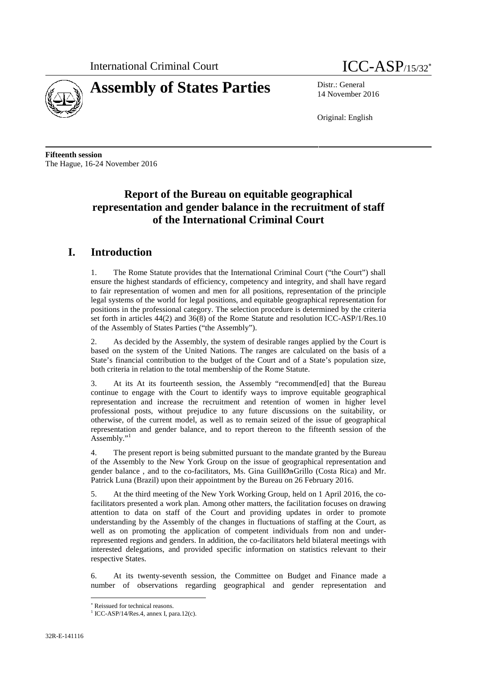



14 November 2016

Original: English

**Fifteenth session** The Hague, 16-24 November 2016

# **Report of the Bureau on equitable geographical representation and gender balance in the recruitment of staff of the International Criminal Court**

# **I. Introduction**

1. The Rome Statute provides that the International Criminal Court ("the Court") shall ensure the highest standards of efficiency, competency and integrity, and shall have regard to fair representation of women and men for all positions, representation of the principle legal systems of the world for legal positions, and equitable geographical representation for positions in the professional category. The selection procedure is determined by the criteria set forth in articles 44(2) and 36(8) of the Rome Statute and resolution ICC-ASP/1/Res.10 of the Assembly of States Parties ("the Assembly").

2. As decided by the Assembly, the system of desirable ranges applied by the Court is based on the system of the United Nations. The ranges are calculated on the basis of a State's financial contribution to the budget of the Court and of a State's population size, both criteria in relation to the total membership of the Rome Statute.

3. At its At its fourteenth session, the Assembly "recommend[ed] that the Bureau continue to engage with the Court to identify ways to improve equitable geographical representation and increase the recruitment and retention of women in higher level professional posts, without prejudice to any future discussions on the suitability, or otherwise, of the current model, as well as to remain seized of the issue of geographical representation and gender balance, and to report thereon to the fifteenth session of the Assembly."<sup>1</sup>

4. The present report is being submitted pursuant to the mandate granted by the Bureau of the Assembly to the New York Group on the issue of geographical representation and gender balance , and to the co-facilitators, Ms. Gina GuillØn-Grillo (Costa Rica) and Mr. Patrick Luna (Brazil) upon their appointment by the Bureau on 26 February 2016.

5. At the third meeting of the New York Working Group, held on 1 April 2016, the cofacilitators presented a work plan. Among other matters, the facilitation focuses on drawing attention to data on staff of the Court and providing updates in order to promote understanding by the Assembly of the changes in fluctuations of staffing at the Court, as well as on promoting the application of competent individuals from non and underrepresented regions and genders. In addition, the co-facilitators held bilateral meetings with interested delegations, and provided specific information on statistics relevant to their respective States.

6. At its twenty-seventh session, the Committee on Budget and Finance made a number of observations regarding geographical and gender representation and

 $*$  Reissued for technical reasons.<br> $*$  ICC-ASP/14/Res.4, annex I, para.12(c).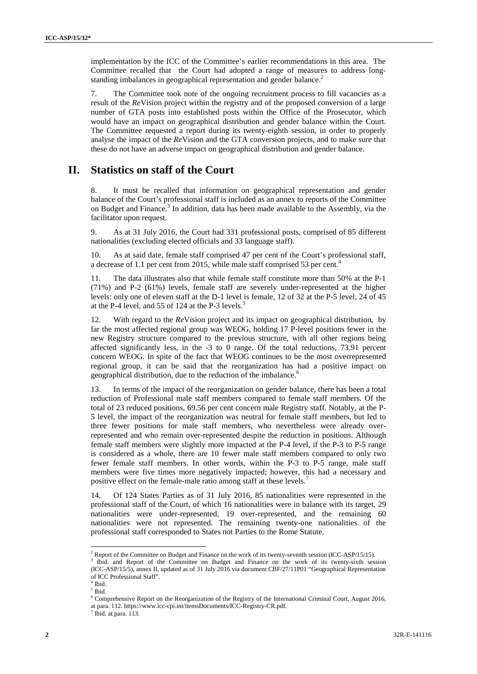implementation by the ICC of the Committee's earlier recommendations in this area. The Committee recalled that the Court had adopted a range of measures to address long standing imbalances in geographical representation and gender balance.<sup>2</sup>

7. The Committee took note of the ongoing recruitment process to fill vacancies as a result of the *Re*Vision project within the registry and of the proposed conversion of a large number of GTA posts into established posts within the Office of the Prosecutor, which would have an impact on geographical distribution and gender balance within the Court. The Committee requested a report during its twenty-eighth session, in order to properly analyse the impact of the *Re*Vision and the GTA conversion projects, and to make sure that these do not have an adverse impact on geographical distribution and gender balance.

## **II. Statistics on staff of the Court**

8. It must be recalled that information on geographical representation and gender balance of the Court's professional staff is included as an annex to reports of the Committee on Budget and Finance.<sup>3</sup> In addition, data has been made available to the Assembly, via the facilitator upon request.

9. As at 31 July 2016, the Court had 331 professional posts, comprised of 85 different nationalities (excluding elected officials and 33 language staff).

10. As at said date, female staff comprised 47 per cent of the Court's professional staff, a decrease of 1.1 per cent from 2015, while male staff comprised 53 per cent.<sup>4</sup>

11. The data illustrates also that while female staff constitute more than 50% at the P-1 (71%) and P-2 (61%) levels, female staff are severely under-represented at the higher levels: only one of eleven staff at the D-1 level is female, 12 of 32 at the P-5 level, 24 of 45 at the P-4 level, and 55 of 124 at the P-3 levels.<sup>5</sup>

12. With regard to the *Re*Vision project and its impact on geographical distribution, by far the most affected regional group was WEOG, holding 17 P-level positions fewer in the new Registry structure compared to the previous structure, with all other regions being affected significantly less, in the -3 to 0 range. Of the total reductions, 73.91 percent concern WEOG. In spite of the fact that WEOG continues to be the most overrepresented regional group, it can be said that the reorganization has had a positive impact on geographical distribution, due to the reduction of the imbalance.<sup>6</sup>

13. In terms of the impact of the reorganization on gender balance, there has been a total reduction of Professional male staff members compared to female staff members. Of the total of 23 reduced positions, 69.56 per cent concern male Registry staff. Notably, at the P- 5 level, the impact of the reorganization was neutral for female staff members, but led to three fewer positions for male staff members, who nevertheless were already overrepresented and who remain over-represented despite the reduction in positions. Although female staff members were slightly more impacted at the P-4 level, if the P-3 to P-5 range is considered as a whole, there are 10 fewer male staff members compared to only two fewer female staff members. In other words, within the P-3 to P-5 range, male staff members were five times more negatively impacted; however, this had a necessary and positive effect on the female-male ratio among staff at these levels.<sup>7</sup>

14. Of 124 States Parties as of 31 July 2016, 85 nationalities were represented in the professional staff of the Court, of which 16 nationalities were in balance with its target, 29 nationalities were under-represented, 19 over-represented, and the remaining 60 nationalities were not represented. The remaining twenty-one nationalities of the professional staff corresponded to States not Parties to the Rome Statute.

<sup>&</sup>lt;sup>2</sup> Report of the Committee on Budget and Finance on the work of its twenty-seventh session (ICC-ASP/15/15).

<sup>3</sup> Ibid. and Report of the Committee on Budget and Finance on the work of its twenty-sixth session (ICC-ASP/15/5), annex II, updated as of 31 July 2016 via document CBF/27/11P01 "Geographical Representation % of ICC Professional Staff". $^4$ Ibid. $^5$ Ibid.  $^{\rm b}$ 

<sup>6</sup> Comprehensive Report on the Reorganization of the Registry of the International Criminal Court, August 2016, at para. 112. https://www.icc-cpi.int/itemsDocuments/ICC-Registry-CR.pdf. <sup>7</sup> Ibid. at para. 113.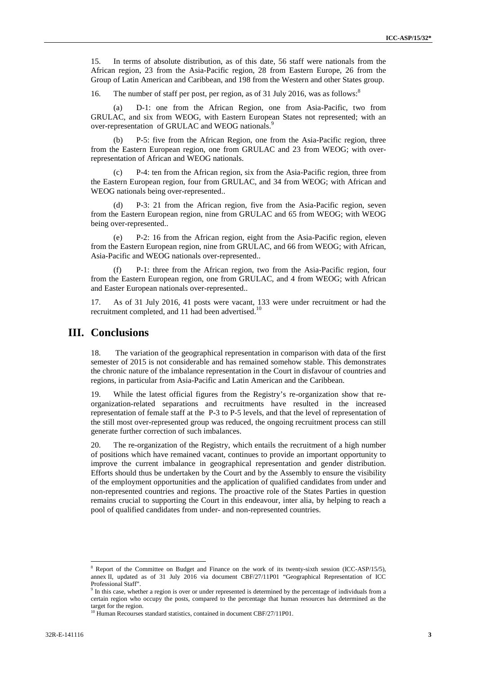15. In terms of absolute distribution, as of this date, 56 staff were nationals from the African region, 23 from the Asia-Pacific region, 28 from Eastern Europe, 26 from the Group of Latin American and Caribbean, and 198 from the Western and other States group.

16. The number of staff per post, per region, as of 31 July 2016, was as follows:<sup>8</sup>

(a) D-1: one from the African Region, one from Asia-Pacific, two from GRULAC, and six from WEOG, with Eastern European States not represented; with an over-representation of GRULAC and WEOG nationals.<sup>9</sup>

(b) P-5: five from the African Region, one from the Asia-Pacific region, three from the Eastern European region, one from GRULAC and 23 from WEOG; with overrepresentation of African and WEOG nationals.

P-4: ten from the African region, six from the Asia-Pacific region, three from the Eastern European region, four from GRULAC, and 34 from WEOG; with African and WEOG nationals being over-represented..

(d) P-3: 21 from the African region, five from the Asia-Pacific region, seven from the Eastern European region, nine from GRULAC and 65 from WEOG; with WEOG being over-represented..

(e) P-2: 16 from the African region, eight from the Asia-Pacific region, eleven from the Eastern European region, nine from GRULAC, and 66 from WEOG; with African, Asia-Pacific and WEOG nationals over-represented..

(f) P-1: three from the African region, two from the Asia-Pacific region, four from the Eastern European region, one from GRULAC, and 4 from WEOG; with African and Easter European nationals over-represented..

17. As of 31 July 2016, 41 posts were vacant, 133 were under recruitment or had the recruitment completed, and 11 had been advertised.<sup>10</sup>

## **III. Conclusions**

18. The variation of the geographical representation in comparison with data of the first semester of 2015 is not considerable and has remained somehow stable. This demonstrates the chronic nature of the imbalance representation in the Court in disfavour of countries and regions, in particular from Asia-Pacific and Latin American and the Caribbean.

19. While the latest official figures from the Registry's re-organization show that re organization-related separations and recruitments have resulted in the increased representation of female staff at the P-3 to P-5 levels, and that the level of representation of the still most over-represented group was reduced, the ongoing recruitment process can still generate further correction of such imbalances.

20. The re-organization of the Registry, which entails the recruitment of a high number of positions which have remained vacant, continues to provide an important opportunity to improve the current imbalance in geographical representation and gender distribution. Efforts should thus be undertaken by the Court and by the Assembly to ensure the visibility of the employment opportunities and the application of qualified candidates from under and non-represented countries and regions. The proactive role of the States Parties in question remains crucial to supporting the Court in this endeavour, inter alia, by helping to reach a pool of qualified candidates from under- and non-represented countries.

<sup>&</sup>lt;sup>8</sup> Report of the Committee on Budget and Finance on the work of its twenty-sixth session (ICC-ASP/15/5), annex II, updated as of 31 July 2016 via document CBF/27/11P01 "Geographical Representation of ICC

 $9$  In this case, whether a region is over or under represented is determined by the percentage of individuals from a certain region who occupy the posts, compared to the percentage that human resources has determined as the

 $10$  Human Recourses standard statistics, contained in document CBF/27/11P01.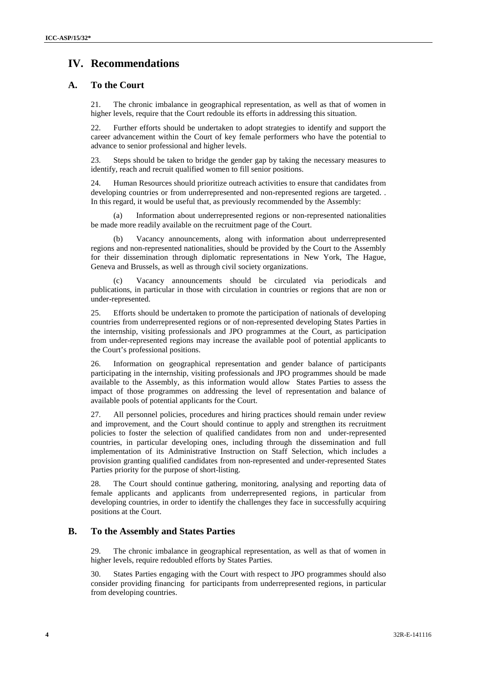# **IV. Recommendations**

### **A. To the Court**

21. The chronic imbalance in geographical representation, as well as that of women in higher levels, require that the Court redouble its efforts in addressing this situation.

22. Further efforts should be undertaken to adopt strategies to identify and support the career advancement within the Court of key female performers who have the potential to advance to senior professional and higher levels.

23. Steps should be taken to bridge the gender gap by taking the necessary measures to identify, reach and recruit qualified women to fill senior positions.

24. Human Resources should prioritize outreach activities to ensure that candidates from developing countries or from underrepresented and non-represented regions are targeted. . In this regard, it would be useful that, as previously recommended by the Assembly:

(a) Information about underrepresented regions or non-represented nationalities be made more readily available on the recruitment page of the Court.

(b) Vacancy announcements, along with information about underrepresented regions and non-represented nationalities, should be provided by the Court to the Assembly for their dissemination through diplomatic representations in New York, The Hague, Geneva and Brussels, as well as through civil society organizations.

(c) Vacancy announcements should be circulated via periodicals and publications, in particular in those with circulation in countries or regions that are non or under-represented.

25. Efforts should be undertaken to promote the participation of nationals of developing countries from underrepresented regions or of non-represented developing States Parties in the internship, visiting professionals and JPO programmes at the Court, as participation from under-represented regions may increase the available pool of potential applicants to the Court's professional positions.

26. Information on geographical representation and gender balance of participants participating in the internship, visiting professionals and JPO programmes should be made available to the Assembly, as this information would allow States Parties to assess the impact of those programmes on addressing the level of representation and balance of available pools of potential applicants for the Court.

27. All personnel policies, procedures and hiring practices should remain under review and improvement, and the Court should continue to apply and strengthen its recruitment policies to foster the selection of qualified candidates from non and under-represented countries, in particular developing ones, including through the dissemination and full implementation of its Administrative Instruction on Staff Selection, which includes a provision granting qualified candidates from non-represented and under-represented States Parties priority for the purpose of short-listing.

28. The Court should continue gathering, monitoring, analysing and reporting data of female applicants and applicants from underrepresented regions, in particular from developing countries, in order to identify the challenges they face in successfully acquiring positions at the Court.

### **B. To the Assembly and States Parties**

29. The chronic imbalance in geographical representation, as well as that of women in higher levels, require redoubled efforts by States Parties.

30. States Parties engaging with the Court with respect to JPO programmes should also consider providing financing for participants from underrepresented regions, in particular from developing countries.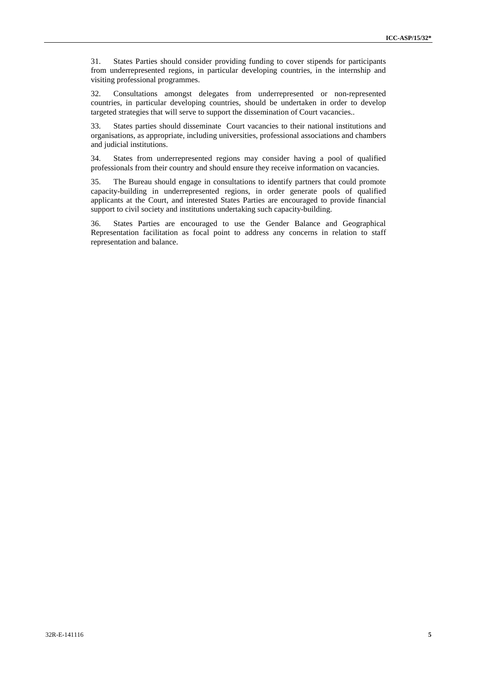31. States Parties should consider providing funding to cover stipends for participants from underrepresented regions, in particular developing countries, in the internship and visiting professional programmes.

32. Consultations amongst delegates from underrepresented or non-represented countries, in particular developing countries, should be undertaken in order to develop targeted strategies that will serve to support the dissemination of Court vacancies..

33. States parties should disseminate Court vacancies to their national institutions and organisations, as appropriate, including universities, professional associations and chambers and judicial institutions.

34. States from underrepresented regions may consider having a pool of qualified professionals from their country and should ensure they receive information on vacancies.

35. The Bureau should engage in consultations to identify partners that could promote capacity-building in underrepresented regions, in order generate pools of qualified applicants at the Court, and interested States Parties are encouraged to provide financial support to civil society and institutions undertaking such capacity-building.

36. States Parties are encouraged to use the Gender Balance and Geographical Representation facilitation as focal point to address any concerns in relation to staff representation and balance.